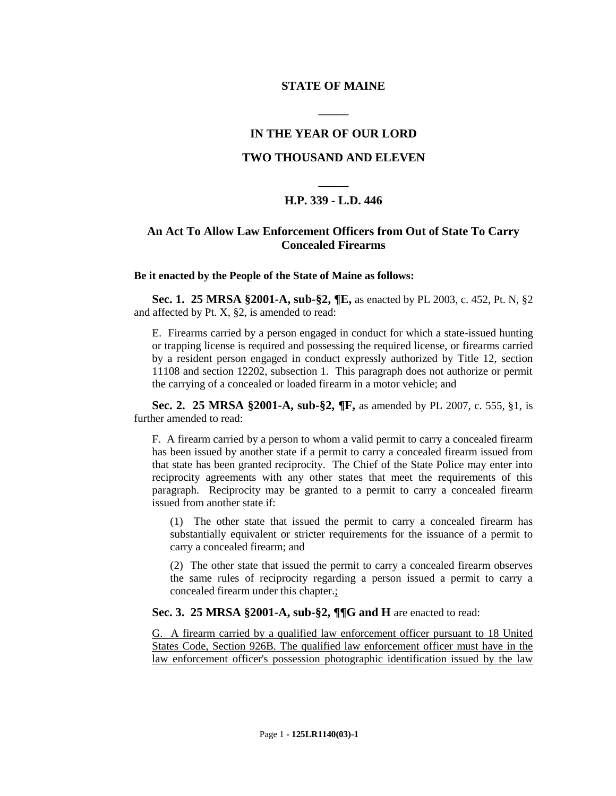## **STATE OF MAINE**

**\_\_\_\_\_**

## **IN THE YEAR OF OUR LORD**

## **TWO THOUSAND AND ELEVEN**

# **\_\_\_\_\_ H.P. 339 - L.D. 446**

# **An Act To Allow Law Enforcement Officers from Out of State To Carry Concealed Firearms**

#### **Be it enacted by the People of the State of Maine as follows:**

**Sec. 1. 25 MRSA §2001-A, sub-§2, ¶E,** as enacted by PL 2003, c. 452, Pt. N, §2 and affected by Pt. X, §2, is amended to read:

E. Firearms carried by a person engaged in conduct for which a state-issued hunting or trapping license is required and possessing the required license, or firearms carried by a resident person engaged in conduct expressly authorized by Title 12, section 11108 and section 12202, subsection 1. This paragraph does not authorize or permit the carrying of a concealed or loaded firearm in a motor vehicle; and

**Sec. 2. 25 MRSA §2001-A, sub-§2, ¶F,** as amended by PL 2007, c. 555, §1, is further amended to read:

F. A firearm carried by a person to whom a valid permit to carry a concealed firearm has been issued by another state if a permit to carry a concealed firearm issued from that state has been granted reciprocity. The Chief of the State Police may enter into reciprocity agreements with any other states that meet the requirements of this paragraph. Reciprocity may be granted to a permit to carry a concealed firearm issued from another state if:

(1) The other state that issued the permit to carry a concealed firearm has substantially equivalent or stricter requirements for the issuance of a permit to carry a concealed firearm; and

(2) The other state that issued the permit to carry a concealed firearm observes the same rules of reciprocity regarding a person issued a permit to carry a concealed firearm under this chapter.;

## **Sec. 3. 25 MRSA §2001-A, sub-§2, ¶¶G and H** are enacted to read:

G. A firearm carried by a qualified law enforcement officer pursuant to 18 United States Code, Section 926B. The qualified law enforcement officer must have in the law enforcement officer's possession photographic identification issued by the law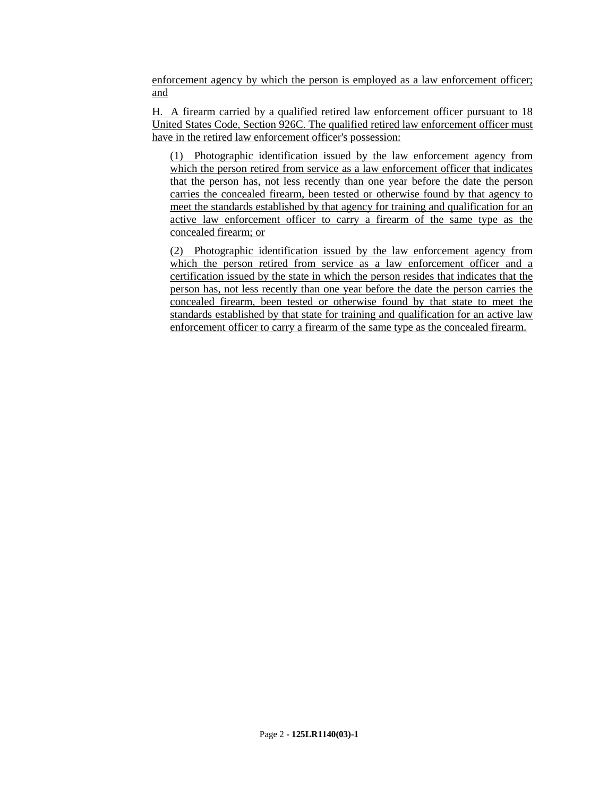enforcement agency by which the person is employed as a law enforcement officer; and

H. A firearm carried by a qualified retired law enforcement officer pursuant to 18 United States Code, Section 926C. The qualified retired law enforcement officer must have in the retired law enforcement officer's possession:

(1) Photographic identification issued by the law enforcement agency from which the person retired from service as a law enforcement officer that indicates that the person has, not less recently than one year before the date the person carries the concealed firearm, been tested or otherwise found by that agency to meet the standards established by that agency for training and qualification for an active law enforcement officer to carry a firearm of the same type as the concealed firearm; or

(2) Photographic identification issued by the law enforcement agency from which the person retired from service as a law enforcement officer and a certification issued by the state in which the person resides that indicates that the person has, not less recently than one year before the date the person carries the concealed firearm, been tested or otherwise found by that state to meet the standards established by that state for training and qualification for an active law enforcement officer to carry a firearm of the same type as the concealed firearm.